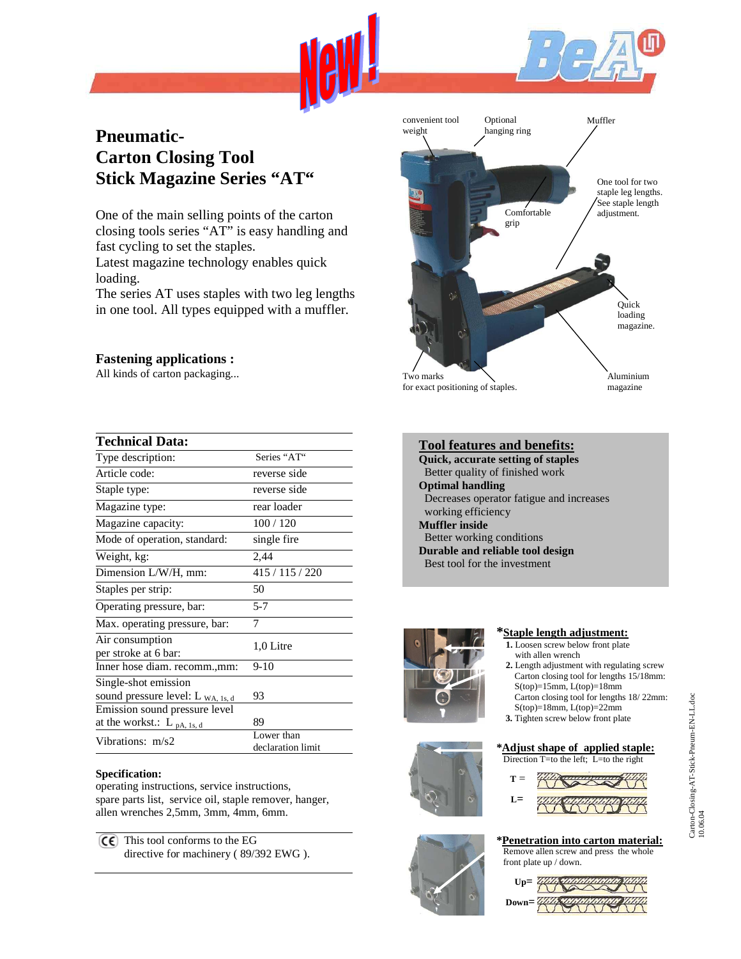

# **Pneumatic-Carton Closing Tool Stick Magazine Series "AT"**

One of the main selling points of the carton closing tools series "AT" is easy handling and fast cycling to set the staples.

Latest magazine technology enables quick loading.

The series AT uses staples with two leg lengths in one tool. All types equipped with a muffler.

## **Fastening applications :**

All kinds of carton packaging...

| <b>Technical Data:</b>                  |                                 |  |  |  |
|-----------------------------------------|---------------------------------|--|--|--|
| Type description:                       | Series "AT"                     |  |  |  |
| Article code:                           | reverse side                    |  |  |  |
| Staple type:                            | reverse side                    |  |  |  |
| Magazine type:                          | rear loader                     |  |  |  |
| Magazine capacity:                      | 100/120                         |  |  |  |
| Mode of operation, standard:            | single fire                     |  |  |  |
| Weight, kg:                             | 2,44                            |  |  |  |
| Dimension L/W/H, mm:                    | 415/115/220                     |  |  |  |
| Staples per strip:                      | 50                              |  |  |  |
| Operating pressure, bar:                | $5 - 7$                         |  |  |  |
| Max. operating pressure, bar:           | 7                               |  |  |  |
| Air consumption<br>per stroke at 6 bar: | 1,0 Litre                       |  |  |  |
| Inner hose diam. recomm.,mm:            | $9-10$                          |  |  |  |
| Single-shot emission                    |                                 |  |  |  |
| sound pressure level: L WA, 1s, d       | 93                              |  |  |  |
| Emission sound pressure level           |                                 |  |  |  |
| at the workst.: $L_{pA, 1s, d}$         | 89                              |  |  |  |
| Vibrations: m/s2                        | Lower than<br>declaration limit |  |  |  |

## **Specification:**

operating instructions, service instructions, spare parts list, service oil, staple remover, hanger, allen wrenches 2,5mm, 3mm, 4mm, 6mm.

 $(C \epsilon)$  This tool conforms to the EG directive for machinery ( 89/392 EWG ).



| <b>Tool features and benefits:</b>        |
|-------------------------------------------|
| <b>Ouick, accurate setting of staples</b> |
| Better quality of finished work           |
| <b>Optimal handling</b>                   |
| Decreases operator fatigue and increases  |
| working efficiency                        |
| Muffler inside                            |
| Better working conditions                 |
| Durable and reliable tool design          |
| Best tool for the investment              |
|                                           |







## **\*Staple length adjustment:**

- **1.** Loosen screw below front plate with allen wrench
- **2.** Length adjustment with regulating screw Carton closing tool for lengths 15/18mm: S(top)=15mm, L(top)=18mm Carton closing tool for lengths 18/ 22mm:
- $S(top)=18mm, L(top)=22mm$  **3.** Tighten screw below front plate

#### **\*Adjust shape of applied staple:** Direction T=to the left; L=to the right





#### Remove allen screw and press the whole front plate up / down.